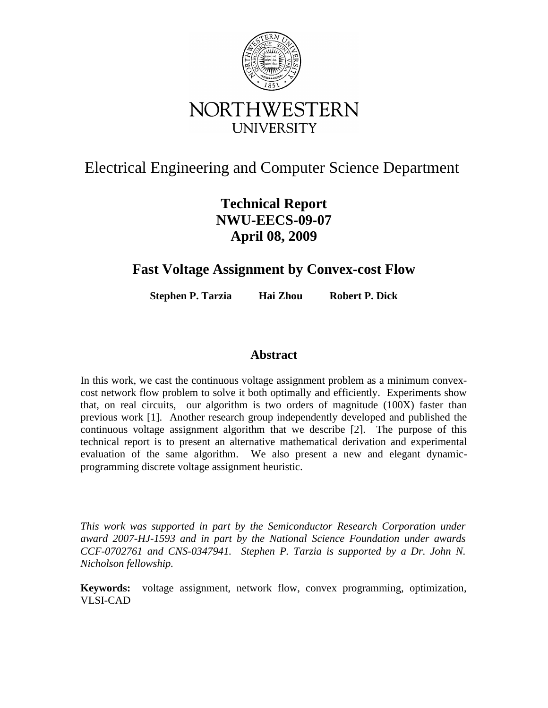

# Electrical Engineering and Computer Science Department

## **Technical Report NWU-EECS-09-07 April 08, 2009**

### **Fast Voltage Assignment by Convex-cost Flow**

**Stephen P. Tarzia Hai Zhou Robert P. Dick**

### **Abstract**

In this work, we cast the continuous voltage assignment problem as a minimum convexcost network flow problem to solve it both optimally and efficiently. Experiments show that, on real circuits, our algorithm is two orders of magnitude (100X) faster than previous work [1]. Another research group independently developed and published the continuous voltage assignment algorithm that we describe [2]. The purpose of this technical report is to present an alternative mathematical derivation and experimental evaluation of the same algorithm. We also present a new and elegant dynamicprogramming discrete voltage assignment heuristic.

*This work was supported in part by the Semiconductor Research Corporation under award 2007-HJ-1593 and in part by the National Science Foundation under awards CCF-0702761 and CNS-0347941. Stephen P. Tarzia is supported by a Dr. John N. Nicholson fellowship.*

**Keywords:** voltage assignment, network flow, convex programming, optimization, VLSI-CAD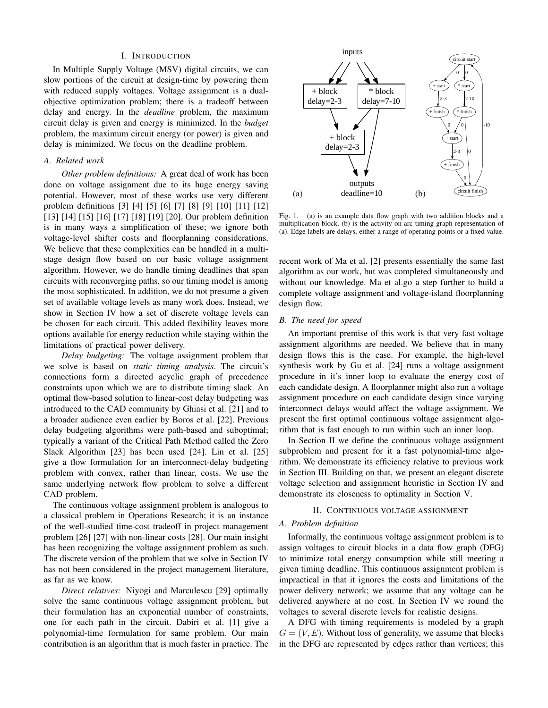#### I. INTRODUCTION

In Multiple Supply Voltage (MSV) digital circuits, we can slow portions of the circuit at design-time by powering them with reduced supply voltages. Voltage assignment is a dualobjective optimization problem; there is a tradeoff between delay and energy. In the *deadline* problem, the maximum circuit delay is given and energy is minimized. In the *budget* problem, the maximum circuit energy (or power) is given and delay is minimized. We focus on the deadline problem.

#### *A. Related work*

*Other problem definitions:* A great deal of work has been done on voltage assignment due to its huge energy saving potential. However, most of these works use very different problem definitions [3] [4] [5] [6] [7] [8] [9] [10] [11] [12] [13] [14] [15] [16] [17] [18] [19] [20]. Our problem definition is in many ways a simplification of these; we ignore both voltage-level shifter costs and floorplanning considerations. We believe that these complexities can be handled in a multistage design flow based on our basic voltage assignment algorithm. However, we do handle timing deadlines that span circuits with reconverging paths, so our timing model is among the most sophisticated. In addition, we do not presume a given set of available voltage levels as many work does. Instead, we show in Section IV how a set of discrete voltage levels can be chosen for each circuit. This added flexibility leaves more options available for energy reduction while staying within the limitations of practical power delivery.

*Delay budgeting:* The voltage assignment problem that we solve is based on *static timing analysis*. The circuit's connections form a directed acyclic graph of precedence constraints upon which we are to distribute timing slack. An optimal flow-based solution to linear-cost delay budgeting was introduced to the CAD community by Ghiasi et al. [21] and to a broader audience even earlier by Boros et al. [22]. Previous delay budgeting algorithms were path-based and suboptimal; typically a variant of the Critical Path Method called the Zero Slack Algorithm [23] has been used [24]. Lin et al. [25] give a flow formulation for an interconnect-delay budgeting problem with convex, rather than linear, costs. We use the same underlying network flow problem to solve a different CAD problem.

The continuous voltage assignment problem is analogous to a classical problem in Operations Research; it is an instance of the well-studied time-cost tradeoff in project management problem [26] [27] with non-linear costs [28]. Our main insight has been recognizing the voltage assignment problem as such. The discrete version of the problem that we solve in Section IV has not been considered in the project management literature, as far as we know.

*Direct relatives:* Niyogi and Marculescu [29] optimally solve the same continuous voltage assignment problem, but their formulation has an exponential number of constraints, one for each path in the circuit. Dabiri et al. [1] give a polynomial-time formulation for same problem. Our main contribution is an algorithm that is much faster in practice. The



Fig. 1. (a) is an example data flow graph with two addition blocks and a multiplication block. (b) is the activity-on-arc timing graph representation of (a). Edge labels are delays, either a range of operating points or a fixed value.

recent work of Ma et al. [2] presents essentially the same fast algorithm as our work, but was completed simultaneously and without our knowledge. Ma et al.go a step further to build a complete voltage assignment and voltage-island floorplanning design flow.

#### *B. The need for speed*

An important premise of this work is that very fast voltage assignment algorithms are needed. We believe that in many design flows this is the case. For example, the high-level synthesis work by Gu et al. [24] runs a voltage assignment procedure in it's inner loop to evaluate the energy cost of each candidate design. A floorplanner might also run a voltage assignment procedure on each candidate design since varying interconnect delays would affect the voltage assignment. We present the first optimal continuous voltage assignment algorithm that is fast enough to run within such an inner loop.

In Section II we define the continuous voltage assignment subproblem and present for it a fast polynomial-time algorithm. We demonstrate its efficiency relative to previous work in Section III. Building on that, we present an elegant discrete voltage selection and assignment heuristic in Section IV and demonstrate its closeness to optimality in Section V.

#### II. CONTINUOUS VOLTAGE ASSIGNMENT

#### *A. Problem definition*

Informally, the continuous voltage assignment problem is to assign voltages to circuit blocks in a data flow graph (DFG) to minimize total energy consumption while still meeting a given timing deadline. This continuous assignment problem is impractical in that it ignores the costs and limitations of the power delivery network; we assume that any voltage can be delivered anywhere at no cost. In Section IV we round the voltages to several discrete levels for realistic designs.

A DFG with timing requirements is modeled by a graph  $G = (V, E)$ . Without loss of generality, we assume that blocks in the DFG are represented by edges rather than vertices; this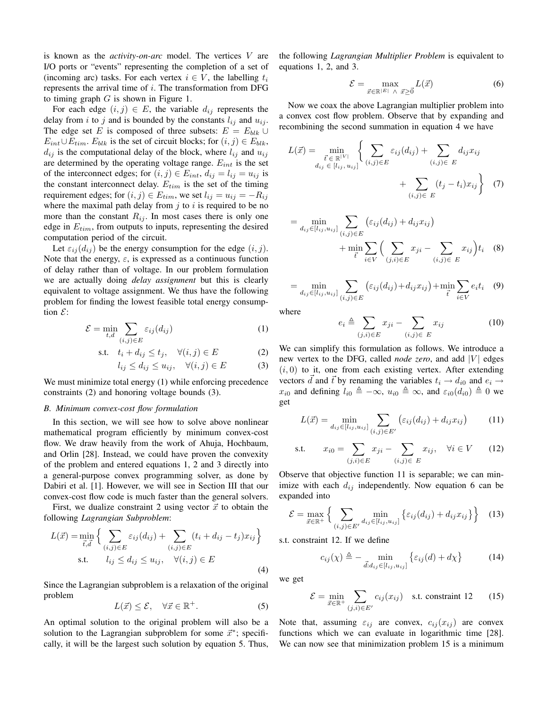is known as the *activity-on-arc* model. The vertices V are I/O ports or "events" representing the completion of a set of (incoming arc) tasks. For each vertex  $i \in V$ , the labelling  $t_i$ represents the arrival time of  $i$ . The transformation from DFG to timing graph  $G$  is shown in Figure 1.

For each edge  $(i, j) \in E$ , the variable  $d_{ij}$  represents the delay from i to j and is bounded by the constants  $l_{ij}$  and  $u_{ij}$ . The edge set E is composed of three subsets:  $E = E_{blk} \cup$  $E_{int} \cup E_{tim}$ .  $E_{blk}$  is the set of circuit blocks; for  $(i, j) \in E_{blk}$ ,  $d_{ij}$  is the computational delay of the block, where  $l_{ij}$  and  $u_{ij}$ are determined by the operating voltage range.  $E_{int}$  is the set of the interconnect edges; for  $(i, j) \in E_{int}$ ,  $d_{ij} = l_{ij} = u_{ij}$  is the constant interconnect delay.  $E_{tim}$  is the set of the timing requirement edges; for  $(i, j) \in E_{tim}$ , we set  $l_{ij} = u_{ij} = -R_{ij}$ where the maximal path delay from  $j$  to  $i$  is required to be no more than the constant  $R_{ij}$ . In most cases there is only one edge in  $E_{tim}$ , from outputs to inputs, representing the desired computation period of the circuit.

Let  $\varepsilon_{ij}(d_{ij})$  be the energy consumption for the edge  $(i, j)$ . Note that the energy,  $\varepsilon$ , is expressed as a continuous function of delay rather than of voltage. In our problem formulation we are actually doing *delay assignment* but this is clearly equivalent to voltage assignment. We thus have the following problem for finding the lowest feasible total energy consumption  $\mathcal{E}$ :

$$
\mathcal{E} = \min_{t,d} \sum_{(i,j)\in E} \varepsilon_{ij}(d_{ij})
$$
\n(1)

$$
\text{s.t.} \quad t_i + d_{ij} \le t_j, \quad \forall (i, j) \in E \tag{2}
$$

$$
l_{ij} \le d_{ij} \le u_{ij}, \quad \forall (i, j) \in E \tag{3}
$$

We must minimize total energy (1) while enforcing precedence constraints (2) and honoring voltage bounds (3).

#### *B. Minimum convex-cost flow formulation*

In this section, we will see how to solve above nonlinear mathematical program efficiently by minimum convex-cost flow. We draw heavily from the work of Ahuja, Hochbaum, and Orlin [28]. Instead, we could have proven the convexity of the problem and entered equations 1, 2 and 3 directly into a general-purpose convex programming solver, as done by Dabiri et al. [1]. However, we will see in Section III that our convex-cost flow code is much faster than the general solvers.

First, we dualize constraint 2 using vector  $\vec{x}$  to obtain the following *Lagrangian Subproblem*:

$$
L(\vec{x}) = \min_{\vec{t}, \vec{d}} \left\{ \sum_{(i,j) \in E} \varepsilon_{ij}(d_{ij}) + \sum_{(i,j) \in E} (t_i + d_{ij} - t_j) x_{ij} \right\}
$$
  
s.t.  $l_{ij} \le d_{ij} \le u_{ij}, \quad \forall (i,j) \in E$  (4)

Since the Lagrangian subproblem is a relaxation of the original problem

$$
L(\vec{x}) \le \mathcal{E}, \quad \forall \vec{x} \in \mathbb{R}^+.
$$
 (5)

An optimal solution to the original problem will also be a solution to the Lagrangian subproblem for some  $\vec{x}^*$ ; specifically, it will be the largest such solution by equation 5. Thus, the following *Lagrangian Multiplier Problem* is equivalent to equations 1, 2, and 3.

$$
\mathcal{E} = \max_{\vec{x} \in \mathbb{R}^{|E|} \land \vec{x} \ge 0} L(\vec{x}) \tag{6}
$$

Now we coax the above Lagrangian multiplier problem into a convex cost flow problem. Observe that by expanding and recombining the second summation in equation 4 we have

$$
L(\vec{x}) = \min_{\substack{\vec{t} \in \mathbb{R}^{|V|} \\ d_{ij} \in [l_{ij}, u_{ij}]}} \left\{ \sum_{(i,j) \in E} \varepsilon_{ij}(d_{ij}) + \sum_{(i,j) \in E} d_{ij} x_{ij} + \sum_{(i,j) \in E} (t_j - t_i) x_{ij} \right\}
$$
(7)

$$
= \min_{d_{ij}\in[l_{ij},u_{ij}]} \sum_{(i,j)\in E} \left(\varepsilon_{ij}(d_{ij}) + d_{ij}x_{ij}\right) + \min_{\vec{t}} \sum_{i\in V} \left(\sum_{(j,i)\in E} x_{ji} - \sum_{(i,j)\in E} x_{ij}\right) t_i \quad (8)
$$

$$
= \min_{d_{ij} \in [l_{ij}, u_{ij}]} \sum_{(i,j) \in E} (\varepsilon_{ij}(d_{ij}) + d_{ij} x_{ij}) + \min_{\vec{t}} \sum_{i \in V} e_i t_i \quad (9)
$$

where

$$
e_i \triangleq \sum_{(j,i)\in E} x_{ji} - \sum_{(i,j)\in E} x_{ij} \tag{10}
$$

We can simplify this formulation as follows. We introduce a new vertex to the DFG, called *node zero*, and add  $|V|$  edges  $(i, 0)$  to it, one from each existing vertex. After extending vectors d and  $\vec{t}$  by renaming the variables  $t_i \rightarrow d_{i0}$  and  $e_i \rightarrow$  $x_{i0}$  and defining  $l_{i0} \triangleq -\infty$ ,  $u_{i0} \triangleq \infty$ , and  $\varepsilon_{i0}(d_{i0}) \triangleq 0$  we get

$$
L(\vec{x}) = \min_{d_{ij} \in [l_{ij}, u_{ij}]} \sum_{(i,j) \in E'} \left( \varepsilon_{ij}(d_{ij}) + d_{ij} x_{ij} \right)
$$
 (11)

s.t. 
$$
x_{i0} = \sum_{(j,i)\in E} x_{ji} - \sum_{(i,j)\in E} x_{ij}, \quad \forall i \in V
$$
 (12)

Observe that objective function 11 is separable; we can minimize with each  $d_{ij}$  independently. Now equation 6 can be expanded into

$$
\mathcal{E} = \max_{\vec{x} \in \mathbb{R}^+} \left\{ \sum_{(i,j) \in E'} \min_{d_{ij} \in [l_{ij}, u_{ij}]} \left\{ \varepsilon_{ij}(d_{ij}) + d_{ij} x_{ij} \right\} \right\} \tag{13}
$$

s.t. constraint 12. If we define

$$
c_{ij}(\chi) \triangleq - \min_{\vec{d}: d_{ij} \in [l_{ij}, u_{ij}]} \left\{ \varepsilon_{ij}(d) + d\chi \right\}
$$
 (14)

we get

$$
\mathcal{E} = \min_{\vec{x} \in \mathbb{R}^+} \sum_{(j,i) \in E'} c_{ij}(x_{ij}) \quad \text{s.t. constraint 12} \tag{15}
$$

Note that, assuming  $\varepsilon_{ij}$  are convex,  $c_{ij}(x_{ij})$  are convex functions which we can evaluate in logarithmic time [28]. We can now see that minimization problem 15 is a minimum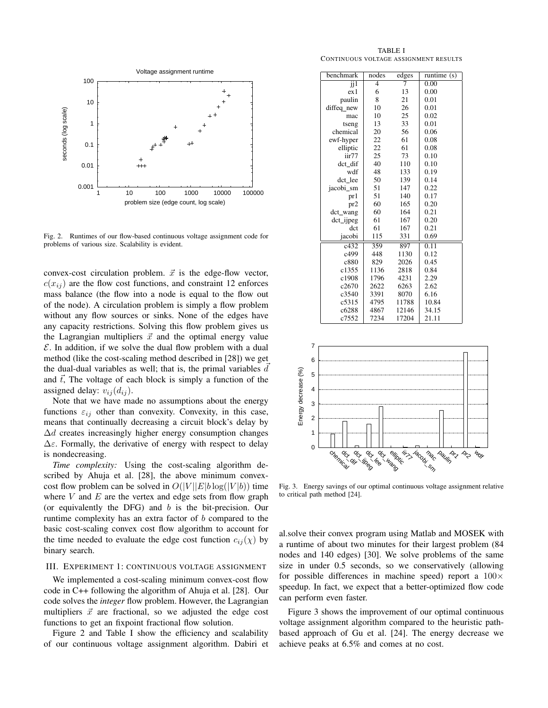

Fig. 2. Runtimes of our flow-based continuous voltage assignment code for problems of various size. Scalability is evident.

convex-cost circulation problem.  $\vec{x}$  is the edge-flow vector,  $c(x_{ij})$  are the flow cost functions, and constraint 12 enforces mass balance (the flow into a node is equal to the flow out of the node). A circulation problem is simply a flow problem without any flow sources or sinks. None of the edges have any capacity restrictions. Solving this flow problem gives us the Lagrangian multipliers  $\vec{x}$  and the optimal energy value  $\mathcal E$ . In addition, if we solve the dual flow problem with a dual method (like the cost-scaling method described in [28]) we get the dual-dual variables as well; that is, the primal variables  $\overrightarrow{d}$ and  $\vec{t}$ , The voltage of each block is simply a function of the assigned delay:  $v_{ij}$   $(d_{ij})$ .

Note that we have made no assumptions about the energy functions  $\varepsilon_{ij}$  other than convexity. Convexity, in this case, means that continually decreasing a circuit block's delay by  $\Delta d$  creates increasingly higher energy consumption changes  $\Delta \varepsilon$ . Formally, the derivative of energy with respect to delay is nondecreasing.

*Time complexity:* Using the cost-scaling algorithm described by Ahuja et al. [28], the above minimum convexcost flow problem can be solved in  $O(|V||E|b \log(|V|b))$  time where  $V$  and  $E$  are the vertex and edge sets from flow graph (or equivalently the DFG) and  $b$  is the bit-precision. Our runtime complexity has an extra factor of b compared to the basic cost-scaling convex cost flow algorithm to account for the time needed to evaluate the edge cost function  $c_{ij}(\chi)$  by binary search.

#### III. EXPERIMENT 1: CONTINUOUS VOLTAGE ASSIGNMENT

We implemented a cost-scaling minimum convex-cost flow code in C++ following the algorithm of Ahuja et al. [28]. Our code solves the *integer* flow problem. However, the Lagrangian multipliers  $\vec{x}$  are fractional, so we adjusted the edge cost functions to get an fixpoint fractional flow solution.

Figure 2 and Table I show the efficiency and scalability of our continuous voltage assignment algorithm. Dabiri et

TABLE I CONTINUOUS VOLTAGE ASSIGNMENT RESULTS

| benchmark               | nodes          | edges | runtime $(s)$ |  |
|-------------------------|----------------|-------|---------------|--|
| $\overline{\mathbf{j}}$ | $\overline{4}$ | 7     | 0.00          |  |
| ex1                     | 6              | 13    | 0.00          |  |
| paulin                  | 8              | 21    | 0.01          |  |
| diffeq new              | 10             | 26    | 0.01          |  |
| mac                     | 10             | 25    | 0.02          |  |
| tseng                   | 13             | 33    | 0.01          |  |
| chemical                | 20             | 56    | 0.06          |  |
| ewf-hyper               | 22             | 61    | 0.08          |  |
| elliptic                | 22             | 61    | 0.08          |  |
| iir77                   | 25             | 73    | 0.10          |  |
| dct dif                 | 40             | 110   | 0.10          |  |
| wdf                     | 48             | 133   | 0.19          |  |
| dct lee                 | 50             | 139   | 0.14          |  |
| jacobi sm               | 51             | 147   | 0.22          |  |
| pr1                     | 51             | 140   | 0.17          |  |
| pr2                     | 60             | 165   | 0.20          |  |
| dct_wang                | 60             | 164   | 0.21          |  |
| $det$ _ijpeg            | 61             | 167   | 0.20          |  |
| $\det$                  | 61             | 167   | 0.21          |  |
| jacobi                  | 115            | 331   | 0.69          |  |
| c432                    | 359            | 897   | 0.11          |  |
| c499                    | 448            | 1130  | 0.12          |  |
| c880                    | 829            | 2026  | 0.45          |  |
| c1355                   | 1136           | 2818  | 0.84          |  |
| c1908                   | 1796           | 4231  | 2.29          |  |
| c2670                   | 2622           | 6263  | 2.62          |  |
| c3540                   | 3391           | 8070  | 6.16          |  |
| c5315                   | 4795           | 11788 | 10.84         |  |
| c6288                   | 4867           | 12146 | 34.15         |  |
| c7552                   | 7234           | 17204 | 21.11         |  |



Fig. 3. Energy savings of our optimal continuous voltage assignment relative to critical path method [24].

al.solve their convex program using Matlab and MOSEK with a runtime of about two minutes for their largest problem (84 nodes and 140 edges) [30]. We solve problems of the same size in under 0.5 seconds, so we conservatively (allowing for possible differences in machine speed) report a  $100 \times$ speedup. In fact, we expect that a better-optimized flow code can perform even faster.

Figure 3 shows the improvement of our optimal continuous voltage assignment algorithm compared to the heuristic pathbased approach of Gu et al. [24]. The energy decrease we achieve peaks at 6.5% and comes at no cost.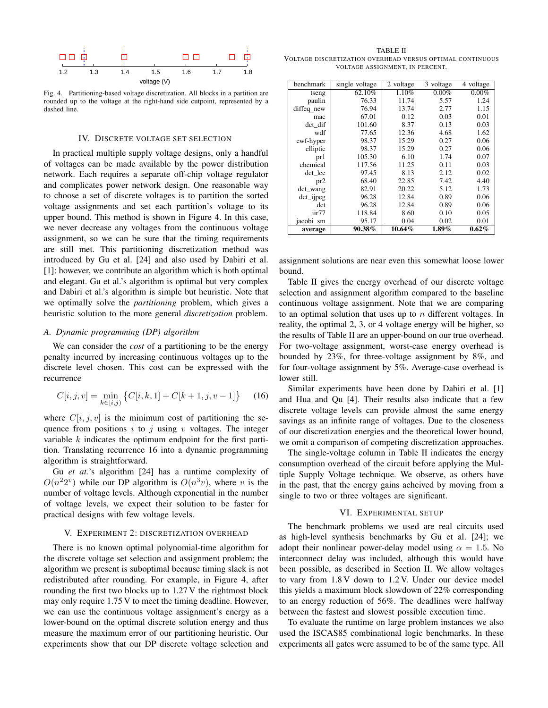

Fig. 4. Partitioning-based voltage discretization. All blocks in a partition are rounded up to the voltage at the right-hand side cutpoint, represented by a dashed line.

#### IV. DISCRETE VOLTAGE SET SELECTION

In practical multiple supply voltage designs, only a handful of voltages can be made available by the power distribution network. Each requires a separate off-chip voltage regulator and complicates power network design. One reasonable way to choose a set of discrete voltages is to partition the sorted voltage assignments and set each partition's voltage to its upper bound. This method is shown in Figure 4. In this case, we never decrease any voltages from the continuous voltage assignment, so we can be sure that the timing requirements are still met. This partitioning discretization method was introduced by Gu et al. [24] and also used by Dabiri et al. [1]; however, we contribute an algorithm which is both optimal and elegant. Gu et al.'s algorithm is optimal but very complex and Dabiri et al.'s algorithm is simple but heuristic. Note that we optimally solve the *partitioning* problem, which gives a heuristic solution to the more general *discretization* problem.

#### *A. Dynamic programming (DP) algorithm*

We can consider the *cost* of a partitioning to be the energy penalty incurred by increasing continuous voltages up to the discrete level chosen. This cost can be expressed with the recurrence

$$
C[i, j, v] = \min_{k \in [i, j)} \left\{ C[i, k, 1] + C[k + 1, j, v - 1] \right\}
$$
 (16)

where  $C[i, j, v]$  is the minimum cost of partitioning the sequence from positions i to j using v voltages. The integer variable  $k$  indicates the optimum endpoint for the first partition. Translating recurrence 16 into a dynamic programming algorithm is straightforward.

Gu *et at.*'s algorithm [24] has a runtime complexity of  $O(n^22^v)$  while our DP algorithm is  $O(n^3v)$ , where v is the number of voltage levels. Although exponential in the number of voltage levels, we expect their solution to be faster for practical designs with few voltage levels.

#### V. EXPERIMENT 2: DISCRETIZATION OVERHEAD

There is no known optimal polynomial-time algorithm for the discrete voltage set selection and assignment problem; the algorithm we present is suboptimal because timing slack is not redistributed after rounding. For example, in Figure 4, after rounding the first two blocks up to 1.27 V the rightmost block may only require 1.75 V to meet the timing deadline. However, we can use the continuous voltage assignment's energy as a lower-bound on the optimal discrete solution energy and thus measure the maximum error of our partitioning heuristic. Our experiments show that our DP discrete voltage selection and

TABLE II VOLTAGE DISCRETIZATION OVERHEAD VERSUS OPTIMAL CONTINUOUS VOLTAGE ASSIGNMENT, IN PERCENT.

| benchmark       | single voltage | 2 voltage | 3 voltage | 4 voltage |
|-----------------|----------------|-----------|-----------|-----------|
| tseng           | 62.10%         | 1.10%     | $0.00\%$  | $0.00\%$  |
| paulin          | 76.33          | 11.74     | 5.57      | 1.24      |
| diffeq_new      | 76.94          | 13.74     | 2.77      | 1.15      |
| mac             | 67.01          | 0.12      | 0.03      | 0.01      |
| dct dif         | 101.60         | 8.37      | 0.13      | 0.03      |
| wdf             | 77.65          | 12.36     | 4.68      | 1.62      |
| ewf-hyper       | 98.37          | 15.29     | 0.27      | 0.06      |
| elliptic        | 98.37          | 15.29     | 0.27      | 0.06      |
| pr1             | 105.30         | 6.10      | 1.74      | 0.07      |
| chemical        | 117.56         | 11.25     | 0.11      | 0.03      |
| dct lee         | 97.45          | 8.13      | 2.12      | 0.02      |
| pr <sub>2</sub> | 68.40          | 22.85     | 7.42      | 4.40      |
| dct_wang        | 82.91          | 20.22     | 5.12      | 1.73      |
| $dct$ _ijpeg    | 96.28          | 12.84     | 0.89      | 0.06      |
| dct             | 96.28          | 12.84     | 0.89      | 0.06      |
| iir77           | 118.84         | 8.60      | 0.10      | 0.05      |
| jacobi sm       | 95.17          | 0.04      | 0.02      | 0.01      |
| average         | 90.38%         | $10.64\%$ | $1.89\%$  | $0.62\%$  |

assignment solutions are near even this somewhat loose lower bound.

Table II gives the energy overhead of our discrete voltage selection and assignment algorithm compared to the baseline continuous voltage assignment. Note that we are comparing to an optimal solution that uses up to  $n$  different voltages. In reality, the optimal 2, 3, or 4 voltage energy will be higher, so the results of Table II are an upper-bound on our true overhead. For two-voltage assignment, worst-case energy overhead is bounded by 23%, for three-voltage assignment by 8%, and for four-voltage assignment by 5%. Average-case overhead is lower still.

Similar experiments have been done by Dabiri et al. [1] and Hua and Qu [4]. Their results also indicate that a few discrete voltage levels can provide almost the same energy savings as an infinite range of voltages. Due to the closeness of our discretization energies and the theoretical lower bound, we omit a comparison of competing discretization approaches.

The single-voltage column in Table II indicates the energy consumption overhead of the circuit before applying the Multiple Supply Voltage technique. We observe, as others have in the past, that the energy gains acheived by moving from a single to two or three voltages are significant.

#### VI. EXPERIMENTAL SETUP

The benchmark problems we used are real circuits used as high-level synthesis benchmarks by Gu et al. [24]; we adopt their nonlinear power-delay model using  $\alpha = 1.5$ . No interconnect delay was included, although this would have been possible, as described in Section II. We allow voltages to vary from 1.8 V down to 1.2 V. Under our device model this yields a maximum block slowdown of 22% corresponding to an energy reduction of 56%. The deadlines were halfway between the fastest and slowest possible execution time.

To evaluate the runtime on large problem instances we also used the ISCAS85 combinational logic benchmarks. In these experiments all gates were assumed to be of the same type. All